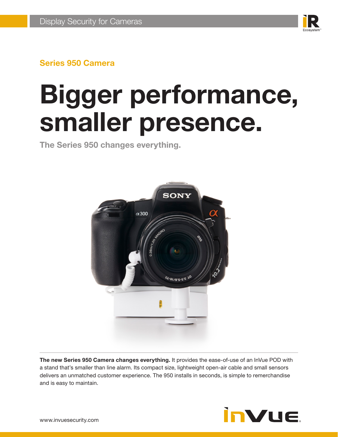

# **Bigger performance, smaller presence.**

**The Series 950 changes everything.**



**The new Series 950 Camera changes everything.** It provides the ease-of-use of an InVue POD with a stand that's smaller than line alarm. Its compact size, lightweight open-air cable and small sensors delivers an unmatched customer experience. The 950 installs in seconds, is simple to remerchandise and is easy to maintain.

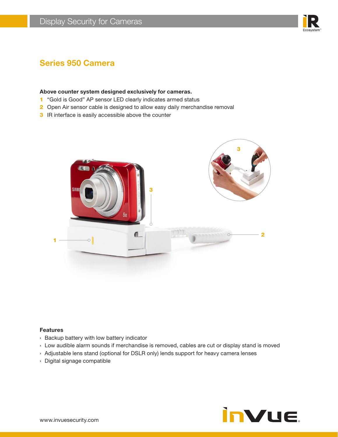

#### **Above counter system designed exclusively for cameras.**

- 1 "Gold is Good" AP sensor LED clearly indicates armed status
- 2 Open Air sensor cable is designed to allow easy daily merchandise removal
- **3** IR interface is easily accessible above the counter



#### **Features**

- › Backup battery with low battery indicator
- › Low audible alarm sounds if merchandise is removed, cables are cut or display stand is moved
- › Adjustable lens stand (optional for DSLR only) lends support for heavy camera lenses
- › Digital signage compatible

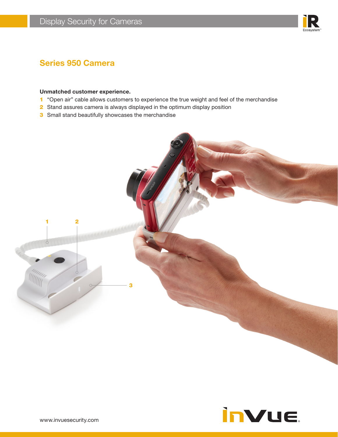

#### **Unmatched customer experience.**

- 1 "Open air" cable allows customers to experience the true weight and feel of the merchandise
- 2 Stand assures camera is always displayed in the optimum display position
- **3** Small stand beautifully showcases the merchandise



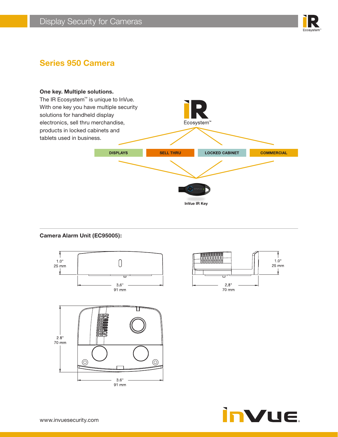



#### **Camera Alarm Unit (EC95005):**





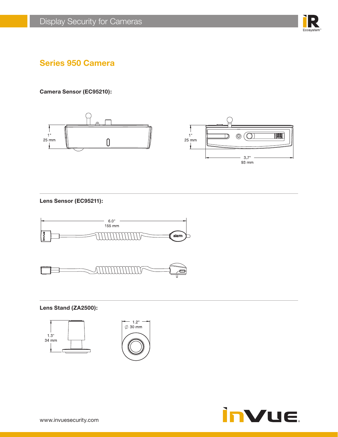

**Camera Sensor (EC95210):**



**Lens Sensor (EC95211):**





**Lens Stand (ZA2500):**